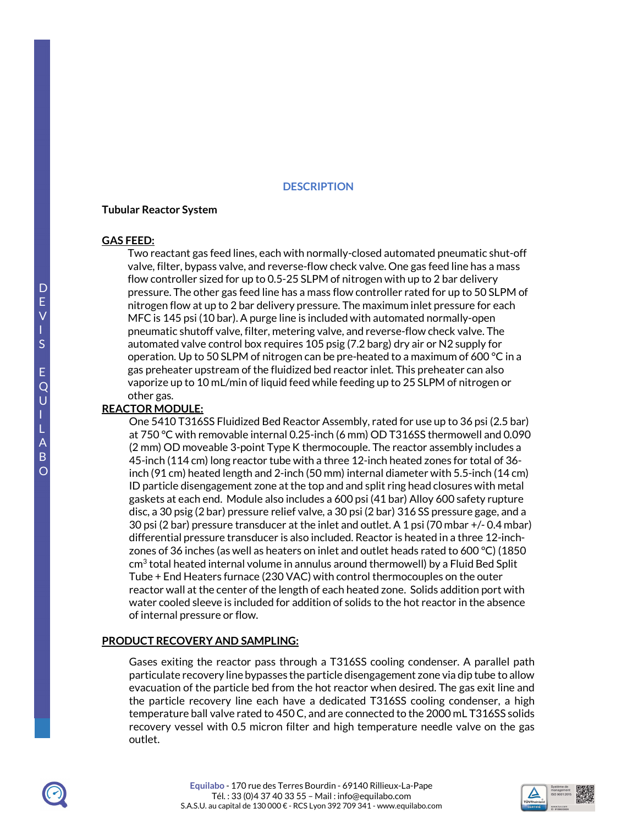## **DESCRIPTION**

#### **Tubular Reactor System**

#### **GAS FEED:**

Two reactant gas feed lines, each with normally-closed automated pneumatic shut-off valve, filter, bypass valve, and reverse-flow check valve. One gas feed line has a mass flow controller sized for up to 0.5-25 SLPM of nitrogen with up to 2 bar delivery pressure. The other gas feed line has a mass flow controller rated for up to 50 SLPM of nitrogen flow at up to 2 bar delivery pressure. The maximum inlet pressure for each MFC is 145 psi (10 bar). A purge line is included with automated normally-open pneumatic shutoff valve, filter, metering valve, and reverse-flow check valve. The automated valve control box requires 105 psig (7.2 barg) dry air or N2 supply for operation. Up to 50 SLPM of nitrogen can be pre-heated to a maximum of 600 °C in a gas preheater upstream of the fluidized bed reactor inlet. This preheater can also vaporize up to 10 mL/min of liquid feed while feeding up to 25 SLPM of nitrogen or other gas.

## **REACTOR MODULE:**

One 5410 T316SS Fluidized Bed Reactor Assembly, rated for use up to 36 psi (2.5 bar) at 750 °C with removable internal 0.25-inch (6 mm) OD T316SS thermowell and 0.090 (2 mm) OD moveable 3-point Type K thermocouple. The reactor assembly includes a 45-inch (114 cm) long reactor tube with a three 12-inch heated zones for total of 36 inch (91 cm) heated length and 2-inch (50 mm) internal diameter with 5.5-inch (14 cm) ID particle disengagement zone at the top and and split ring head closures with metal gaskets at each end. Module also includes a 600 psi (41 bar) Alloy 600 safety rupture disc, a 30 psig (2 bar) pressure relief valve, a 30 psi (2 bar) 316 SS pressure gage, and a 30 psi (2 bar) pressure transducer at the inlet and outlet. A 1 psi (70 mbar +/- 0.4 mbar) differential pressure transducer is also included. Reactor is heated in a three 12-inchzones of 36 inches (as well as heaters on inlet and outlet heads rated to 600 °C) (1850  $\mathsf{cm}^3$  total heated internal volume in annulus around thermowell) by a Fluid Bed Split Tube + End Heaters furnace (230 VAC) with control thermocouples on the outer reactor wall at the center of the length of each heated zone. Solids addition port with water cooled sleeve is included for addition of solids to the hot reactor in the absence of internal pressure or flow.

#### **PRODUCT RECOVERY AND SAMPLING:**

Gases exiting the reactor pass through a T316SS cooling condenser. A parallel path particulate recovery line bypasses the particle disengagement zone via dip tube to allow evacuation of the particle bed from the hot reactor when desired. The gas exit line and the particle recovery line each have a dedicated T316SS cooling condenser, a high temperature ball valve rated to 450 C, and are connected to the 2000 mL T316SS solids recovery vessel with 0.5 micron filter and high temperature needle valve on the gas outlet.



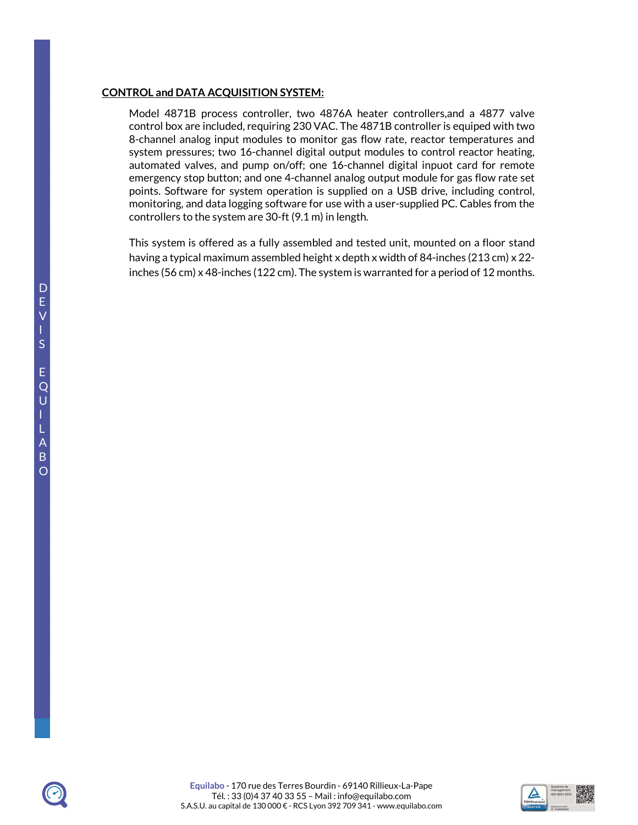## **CONTROL and DATA ACQUISITION SYSTEM:**

Model 4871B process controller, two 4876A heater controllers,and a 4877 valve control box are included, requiring 230 VAC. The 4871B controller is equiped with two 8-channel analog input modules to monitor gas flow rate, reactor temperatures and system pressures; two 16-channel digital output modules to control reactor heating, automated valves, and pump on/off; one 16-channel digital inpuot card for remote emergency stop button; and one 4-channel analog output module for gas flow rate set points. Software for system operation is supplied on a USB drive, including control, monitoring, and data logging software for use with a user-supplied PC. Cables from the controllers to the system are 30-ft (9.1 m) in length.

This system is offered as a fully assembled and tested unit, mounted on a floor stand having a typical maximum assembled height x depth x width of 84-inches (213 cm) x 22 inches (56 cm) x 48-inches (122 cm). The system is warranted for a period of 12 months.



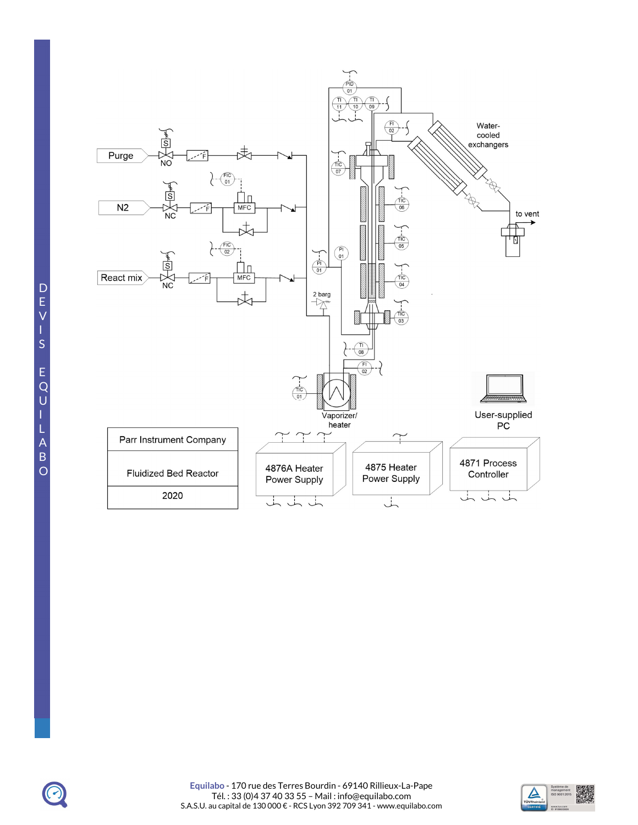